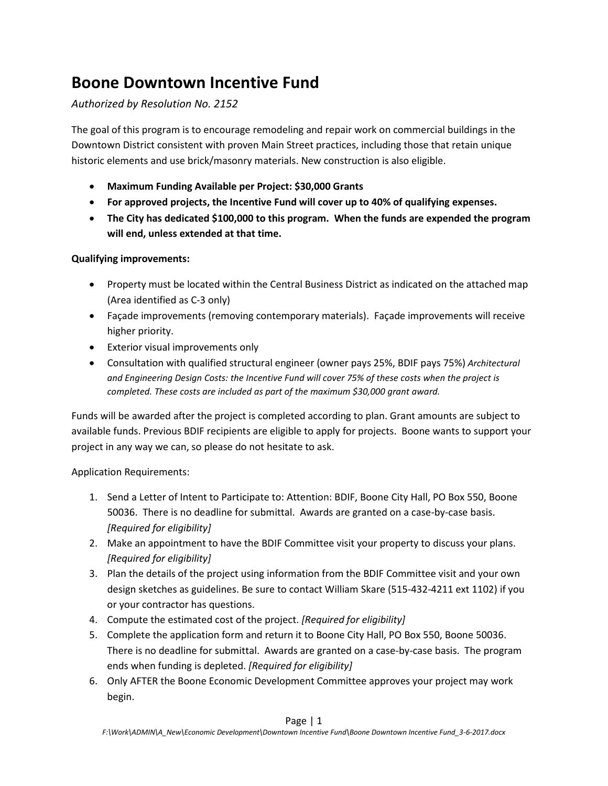## **Boone Downtown Incentive Fund**

## *Authorized by Resolution No. 2152*

The goal of this program is to encourage remodeling and repair work on commercial buildings in the Downtown District consistent with proven Main Street practices, including those that retain unique historic elements and use brick/masonry materials. New construction is also eligible.

- **Maximum Funding Available per Project: \$30,000 Grants**
- **For approved projects, the Incentive Fund will cover up to 40% of qualifying expenses.**
- **The City has dedicated \$100,000 to this program. When the funds are expended the program will end, unless extended at that time.**

## **Qualifying improvements:**

- Property must be located within the Central Business District as indicated on the attached map (Area identified as C-3 only)
- Façade improvements (removing contemporary materials). Façade improvements will receive higher priority.
- Exterior visual improvements only
- Consultation with qualified structural engineer (owner pays 25%, BDIF pays 75%) *Architectural and Engineering Design Costs: the Incentive Fund will cover 75% of these costs when the project is completed. These costs are included as part of the maximum \$30,000 grant award.*

Funds will be awarded after the project is completed according to plan. Grant amounts are subject to available funds. Previous BDIF recipients are eligible to apply for projects. Boone wants to support your project in any way we can, so please do not hesitate to ask.

Application Requirements:

- 1. Send a Letter of Intent to Participate to: Attention: BDIF, Boone City Hall, PO Box 550, Boone 50036. There is no deadline for submittal. Awards are granted on a case-by-case basis. *[Required for eligibility]*
- 2. Make an appointment to have the BDIF Committee visit your property to discuss your plans. *[Required for eligibility]*
- 3. Plan the details of the project using information from the BDIF Committee visit and your own design sketches as guidelines. Be sure to contact William Skare (515-432-4211 ext 1102) if you or your contractor has questions.
- 4. Compute the estimated cost of the project. *[Required for eligibility]*
- 5. Complete the application form and return it to Boone City Hall, PO Box 550, Boone 50036. There is no deadline for submittal. Awards are granted on a case-by-case basis. The program ends when funding is depleted. *[Required for eligibility]*
- 6. Only AFTER the Boone Economic Development Committee approves your project may work begin.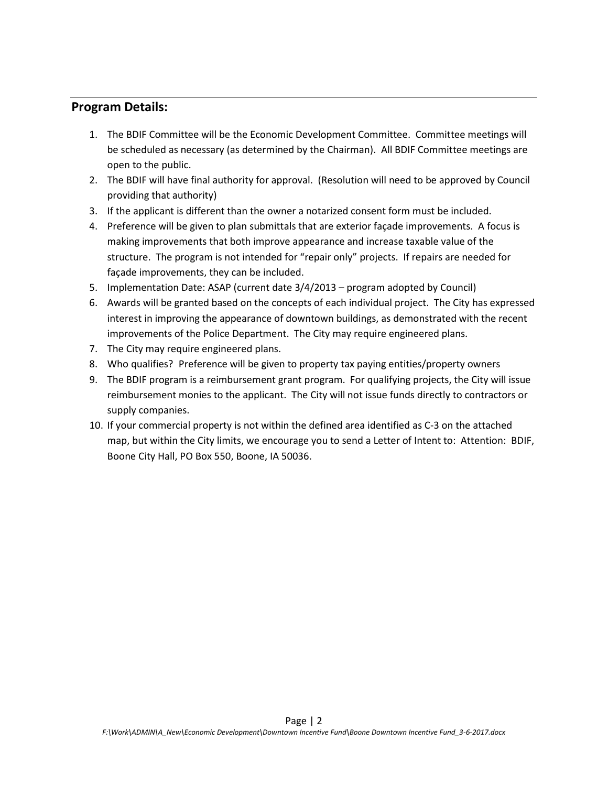## **Program Details:**

- 1. The BDIF Committee will be the Economic Development Committee. Committee meetings will be scheduled as necessary (as determined by the Chairman). All BDIF Committee meetings are open to the public.
- 2. The BDIF will have final authority for approval. (Resolution will need to be approved by Council providing that authority)
- 3. If the applicant is different than the owner a notarized consent form must be included.
- 4. Preference will be given to plan submittals that are exterior façade improvements. A focus is making improvements that both improve appearance and increase taxable value of the structure. The program is not intended for "repair only" projects. If repairs are needed for façade improvements, they can be included.
- 5. Implementation Date: ASAP (current date 3/4/2013 program adopted by Council)
- 6. Awards will be granted based on the concepts of each individual project. The City has expressed interest in improving the appearance of downtown buildings, as demonstrated with the recent improvements of the Police Department. The City may require engineered plans.
- 7. The City may require engineered plans.
- 8. Who qualifies? Preference will be given to property tax paying entities/property owners
- 9. The BDIF program is a reimbursement grant program. For qualifying projects, the City will issue reimbursement monies to the applicant. The City will not issue funds directly to contractors or supply companies.
- 10. If your commercial property is not within the defined area identified as C-3 on the attached map, but within the City limits, we encourage you to send a Letter of Intent to: Attention: BDIF, Boone City Hall, PO Box 550, Boone, IA 50036.